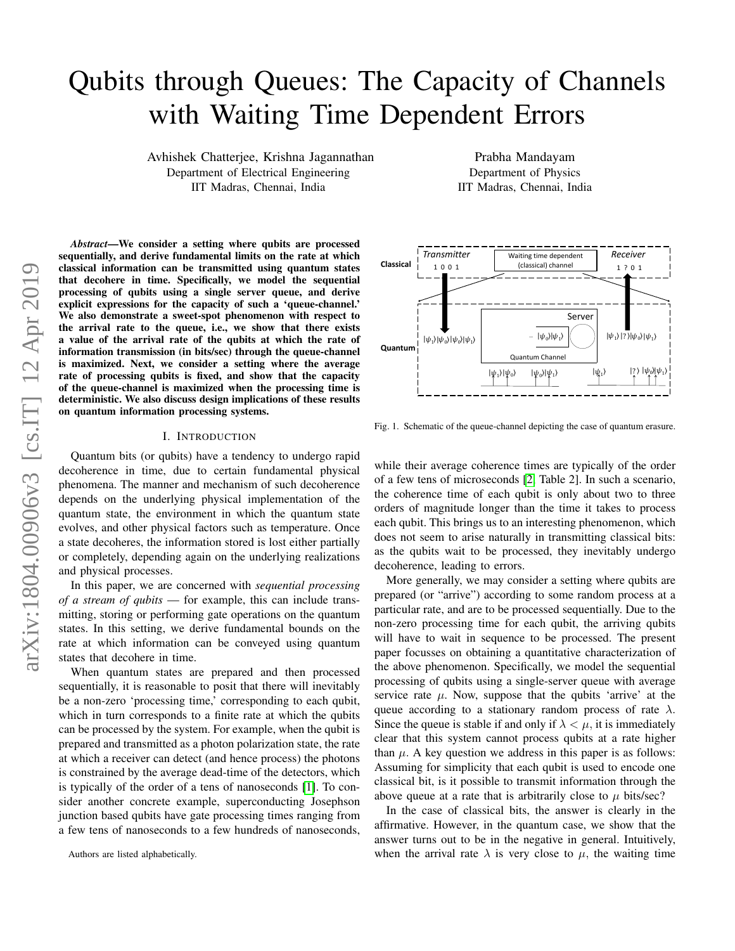# Qubits through Queues: The Capacity of Channels with Waiting Time Dependent Errors

Avhishek Chatterjee, Krishna Jagannathan Department of Electrical Engineering IIT Madras, Chennai, India

*Abstract*—We consider a setting where qubits are processed sequentially, and derive fundamental limits on the rate at which classical information can be transmitted using quantum states that decohere in time. Specifically, we model the sequential processing of qubits using a single server queue, and derive explicit expressions for the capacity of such a 'queue-channel.' We also demonstrate a sweet-spot phenomenon with respect to the arrival rate to the queue, i.e., we show that there exists a value of the arrival rate of the qubits at which the rate of information transmission (in bits/sec) through the queue-channel is maximized. Next, we consider a setting where the average rate of processing qubits is fixed, and show that the capacity of the queue-channel is maximized when the processing time is deterministic. We also discuss design implications of these results on quantum information processing systems.

#### I. INTRODUCTION

Quantum bits (or qubits) have a tendency to undergo rapid decoherence in time, due to certain fundamental physical phenomena. The manner and mechanism of such decoherence depends on the underlying physical implementation of the quantum state, the environment in which the quantum state evolves, and other physical factors such as temperature. Once a state decoheres, the information stored is lost either partially or completely, depending again on the underlying realizations and physical processes.

In this paper, we are concerned with *sequential processing of a stream of qubits* — for example, this can include transmitting, storing or performing gate operations on the quantum states. In this setting, we derive fundamental bounds on the rate at which information can be conveyed using quantum states that decohere in time.

When quantum states are prepared and then processed sequentially, it is reasonable to posit that there will inevitably be a non-zero 'processing time,' corresponding to each qubit, which in turn corresponds to a finite rate at which the qubits can be processed by the system. For example, when the qubit is prepared and transmitted as a photon polarization state, the rate at which a receiver can detect (and hence process) the photons is constrained by the average dead-time of the detectors, which is typically of the order of a tens of nanoseconds [\[1\]](#page-8-0). To consider another concrete example, superconducting Josephson junction based qubits have gate processing times ranging from a few tens of nanoseconds to a few hundreds of nanoseconds,

Prabha Mandayam Department of Physics IIT Madras, Chennai, India



<span id="page-0-0"></span>Fig. 1. Schematic of the queue-channel depicting the case of quantum erasure.

while their average coherence times are typically of the order of a few tens of microseconds [\[2,](#page-8-1) Table 2]. In such a scenario, the coherence time of each qubit is only about two to three orders of magnitude longer than the time it takes to process each qubit. This brings us to an interesting phenomenon, which does not seem to arise naturally in transmitting classical bits: as the qubits wait to be processed, they inevitably undergo decoherence, leading to errors.

More generally, we may consider a setting where qubits are prepared (or "arrive") according to some random process at a particular rate, and are to be processed sequentially. Due to the non-zero processing time for each qubit, the arriving qubits will have to wait in sequence to be processed. The present paper focusses on obtaining a quantitative characterization of the above phenomenon. Specifically, we model the sequential processing of qubits using a single-server queue with average service rate  $\mu$ . Now, suppose that the qubits 'arrive' at the queue according to a stationary random process of rate  $\lambda$ . Since the queue is stable if and only if  $\lambda < \mu$ , it is immediately clear that this system cannot process qubits at a rate higher than  $\mu$ . A key question we address in this paper is as follows: Assuming for simplicity that each qubit is used to encode one classical bit, is it possible to transmit information through the above queue at a rate that is arbitrarily close to  $\mu$  bits/sec?

In the case of classical bits, the answer is clearly in the affirmative. However, in the quantum case, we show that the answer turns out to be in the negative in general. Intuitively, when the arrival rate  $\lambda$  is very close to  $\mu$ , the waiting time

Authors are listed alphabetically.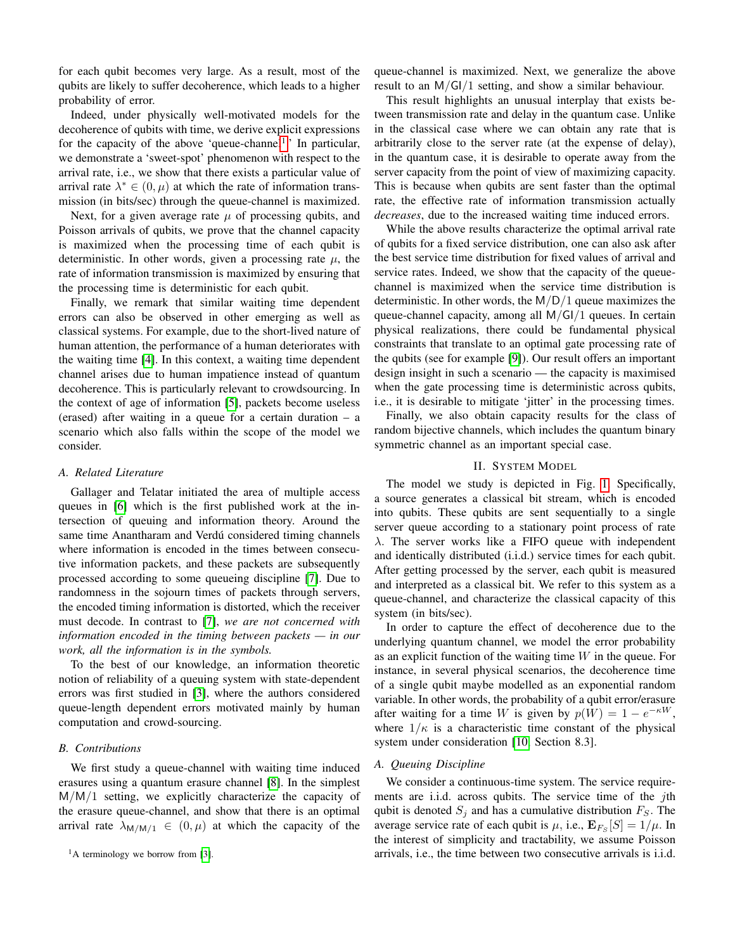for each qubit becomes very large. As a result, most of the qubits are likely to suffer decoherence, which leads to a higher probability of error.

Indeed, under physically well-motivated models for the decoherence of qubits with time, we derive explicit expressions for the capacity of the above 'queue-channel<sup>[1](#page-1-0)</sup>.' In particular, we demonstrate a 'sweet-spot' phenomenon with respect to the arrival rate, i.e., we show that there exists a particular value of arrival rate  $\lambda^* \in (0, \mu)$  at which the rate of information transmission (in bits/sec) through the queue-channel is maximized.

Next, for a given average rate  $\mu$  of processing qubits, and Poisson arrivals of qubits, we prove that the channel capacity is maximized when the processing time of each qubit is deterministic. In other words, given a processing rate  $\mu$ , the rate of information transmission is maximized by ensuring that the processing time is deterministic for each qubit.

Finally, we remark that similar waiting time dependent errors can also be observed in other emerging as well as classical systems. For example, due to the short-lived nature of human attention, the performance of a human deteriorates with the waiting time [\[4\]](#page-8-2). In this context, a waiting time dependent channel arises due to human impatience instead of quantum decoherence. This is particularly relevant to crowdsourcing. In the context of age of information [\[5\]](#page-8-3), packets become useless (erased) after waiting in a queue for a certain duration – a scenario which also falls within the scope of the model we consider.

# *A. Related Literature*

Gallager and Telatar initiated the area of multiple access queues in [\[6\]](#page-8-4) which is the first published work at the intersection of queuing and information theory. Around the same time Anantharam and Verdú considered timing channels where information is encoded in the times between consecutive information packets, and these packets are subsequently processed according to some queueing discipline [\[7\]](#page-8-5). Due to randomness in the sojourn times of packets through servers, the encoded timing information is distorted, which the receiver must decode. In contrast to [\[7\]](#page-8-5), *we are not concerned with information encoded in the timing between packets — in our work, all the information is in the symbols.*

To the best of our knowledge, an information theoretic notion of reliability of a queuing system with state-dependent errors was first studied in [\[3\]](#page-8-6), where the authors considered queue-length dependent errors motivated mainly by human computation and crowd-sourcing.

## *B. Contributions*

<span id="page-1-0"></span>We first study a queue-channel with waiting time induced erasures using a quantum erasure channel [\[8\]](#page-8-7). In the simplest M/M/1 setting, we explicitly characterize the capacity of the erasure queue-channel, and show that there is an optimal arrival rate  $\lambda_{M/M/1} \in (0, \mu)$  at which the capacity of the queue-channel is maximized. Next, we generalize the above result to an M/GI/1 setting, and show a similar behaviour.

This result highlights an unusual interplay that exists between transmission rate and delay in the quantum case. Unlike in the classical case where we can obtain any rate that is arbitrarily close to the server rate (at the expense of delay), in the quantum case, it is desirable to operate away from the server capacity from the point of view of maximizing capacity. This is because when qubits are sent faster than the optimal rate, the effective rate of information transmission actually *decreases*, due to the increased waiting time induced errors.

While the above results characterize the optimal arrival rate of qubits for a fixed service distribution, one can also ask after the best service time distribution for fixed values of arrival and service rates. Indeed, we show that the capacity of the queuechannel is maximized when the service time distribution is deterministic. In other words, the  $M/D/1$  queue maximizes the queue-channel capacity, among all M/GI/1 queues. In certain physical realizations, there could be fundamental physical constraints that translate to an optimal gate processing rate of the qubits (see for example [\[9\]](#page-8-8)). Our result offers an important design insight in such a scenario — the capacity is maximised when the gate processing time is deterministic across qubits, i.e., it is desirable to mitigate 'jitter' in the processing times.

Finally, we also obtain capacity results for the class of random bijective channels, which includes the quantum binary symmetric channel as an important special case.

# II. SYSTEM MODEL

<span id="page-1-1"></span>The model we study is depicted in Fig. [1.](#page-0-0) Specifically, a source generates a classical bit stream, which is encoded into qubits. These qubits are sent sequentially to a single server queue according to a stationary point process of rate  $\lambda$ . The server works like a FIFO queue with independent and identically distributed (i.i.d.) service times for each qubit. After getting processed by the server, each qubit is measured and interpreted as a classical bit. We refer to this system as a queue-channel, and characterize the classical capacity of this system (in bits/sec).

In order to capture the effect of decoherence due to the underlying quantum channel, we model the error probability as an explicit function of the waiting time  $W$  in the queue. For instance, in several physical scenarios, the decoherence time of a single qubit maybe modelled as an exponential random variable. In other words, the probability of a qubit error/erasure after waiting for a time W is given by  $p(W) = 1 - e^{-\kappa W}$ , where  $1/\kappa$  is a characteristic time constant of the physical system under consideration [\[10,](#page-8-9) Section 8.3].

# *A. Queuing Discipline*

We consider a continuous-time system. The service requirements are i.i.d. across qubits. The service time of the jth qubit is denoted  $S_i$  and has a cumulative distribution  $F_S$ . The average service rate of each qubit is  $\mu$ , i.e.,  $\mathbf{E}_{F_S}[S] = 1/\mu$ . In the interest of simplicity and tractability, we assume Poisson arrivals, i.e., the time between two consecutive arrivals is i.i.d.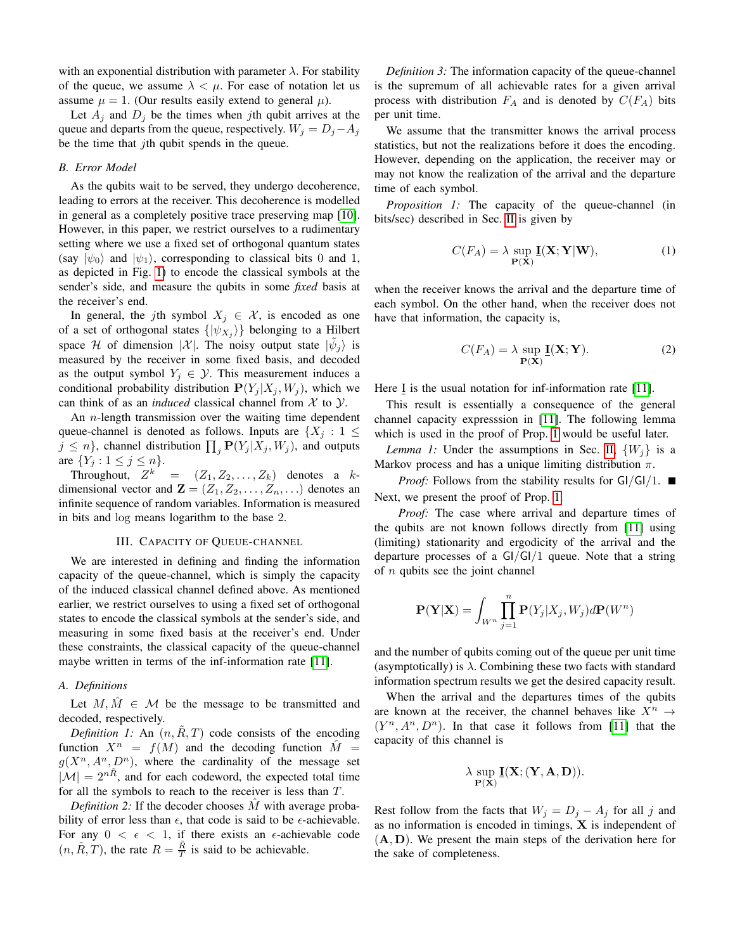with an exponential distribution with parameter  $\lambda$ . For stability of the queue, we assume  $\lambda < \mu$ . For ease of notation let us assume  $\mu = 1$ . (Our results easily extend to general  $\mu$ ).

Let  $A_j$  and  $D_j$  be the times when jth qubit arrives at the queue and departs from the queue, respectively.  $W_j = D_j - A_j$ be the time that  $j$ th qubit spends in the queue.

#### *B. Error Model*

As the qubits wait to be served, they undergo decoherence, leading to errors at the receiver. This decoherence is modelled in general as a completely positive trace preserving map [\[10\]](#page-8-9). However, in this paper, we restrict ourselves to a rudimentary setting where we use a fixed set of orthogonal quantum states (say  $|\psi_0\rangle$  and  $|\psi_1\rangle$ , corresponding to classical bits 0 and 1, as depicted in Fig. [1\)](#page-0-0) to encode the classical symbols at the sender's side, and measure the qubits in some *fixed* basis at the receiver's end.

In general, the jth symbol  $X_j \in \mathcal{X}$ , is encoded as one of a set of orthogonal states  $\{|\psi_{X_j}\rangle\}$  belonging to a Hilbert space H of dimension |X|. The noisy output state  $|\tilde{\psi}_j\rangle$  is measured by the receiver in some fixed basis, and decoded as the output symbol  $Y_j \in \mathcal{Y}$ . This measurement induces a conditional probability distribution  $P(Y_j | X_j, W_j)$ , which we can think of as an *induced* classical channel from  $X$  to  $Y$ .

An *n*-length transmission over the waiting time dependent queue-channel is denoted as follows. Inputs are  $\{X_j : 1 \leq j \leq N_j\}$  $j \leq n$ , channel distribution  $\prod_j \mathbf{P}(Y_j | X_j, W_j)$ , and outputs are  $\{Y_j : 1 \le j \le n\}.$ 

Throughout,  $Z^k = (Z_1, Z_2, \ldots, Z_k)$  denotes a kdimensional vector and  $\mathbf{Z} = (Z_1, Z_2, \dots, Z_n, \dots)$  denotes an infinite sequence of random variables. Information is measured in bits and log means logarithm to the base 2.

## III. CAPACITY OF QUEUE-CHANNEL

We are interested in defining and finding the information capacity of the queue-channel, which is simply the capacity of the induced classical channel defined above. As mentioned earlier, we restrict ourselves to using a fixed set of orthogonal states to encode the classical symbols at the sender's side, and measuring in some fixed basis at the receiver's end. Under these constraints, the classical capacity of the queue-channel maybe written in terms of the inf-information rate [\[11\]](#page-8-10).

#### *A. Definitions*

Let  $M, \hat{M} \in \mathcal{M}$  be the message to be transmitted and decoded, respectively.

*Definition 1:* An  $(n, R, T)$  code consists of the encoding function  $X^n = f(M)$  and the decoding function  $\hat{M} =$  $g(X^n, A^n, D^n)$ , where the cardinality of the message set  $|\mathcal{M}| = 2^{n\tilde{R}}$ , and for each codeword, the expected total time for all the symbols to reach to the receiver is less than T.

*Definition 2:* If the decoder chooses  $\hat{M}$  with average probability of error less than  $\epsilon$ , that code is said to be  $\epsilon$ -achievable. For any  $0 < \epsilon < 1$ , if there exists an  $\epsilon$ -achievable code  $(n, \tilde{R}, T)$ , the rate  $R = \frac{\tilde{R}}{T}$  is said to be achievable.

*Definition 3:* The information capacity of the queue-channel is the supremum of all achievable rates for a given arrival process with distribution  $F_A$  and is denoted by  $C(F_A)$  bits per unit time.

We assume that the transmitter knows the arrival process statistics, but not the realizations before it does the encoding. However, depending on the application, the receiver may or may not know the realization of the arrival and the departure time of each symbol.

<span id="page-2-0"></span>*Proposition 1:* The capacity of the queue-channel (in bits/sec) described in Sec. [II](#page-1-1) is given by

$$
C(F_A) = \lambda \sup_{\mathbf{P}(\mathbf{X})} \mathbf{\underline{I}}(\mathbf{X}; \mathbf{Y}|\mathbf{W}),
$$
 (1)

when the receiver knows the arrival and the departure time of each symbol. On the other hand, when the receiver does not have that information, the capacity is,

<span id="page-2-1"></span>
$$
C(F_A) = \lambda \sup_{\mathbf{P}(\mathbf{X})} \mathbf{\underline{I}}(\mathbf{X}; \mathbf{Y}).
$$
 (2)

Here  $\underline{I}$  is the usual notation for inf-information rate [\[11\]](#page-8-10).

This result is essentially a consequence of the general channel capacity expresssion in [\[11\]](#page-8-10). The following lemma which is used in the proof of Prop. [1](#page-2-0) would be useful later.

*Lemma 1:* Under the assumptions in Sec. [II,](#page-1-1)  $\{W_i\}$  is a Markov process and has a unique limiting distribution  $\pi$ .

*Proof:* Follows from the stability results for  $GI/GI/1$ . Next, we present the proof of Prop. [1.](#page-2-0)

*Proof:* The case where arrival and departure times of the qubits are not known follows directly from [\[11\]](#page-8-10) using (limiting) stationarity and ergodicity of the arrival and the departure processes of a GI/GI/1 queue. Note that a string of  $n$  qubits see the joint channel

$$
\mathbf{P}(\mathbf{Y}|\mathbf{X}) = \int_{W^n} \prod_{j=1}^n \mathbf{P}(Y_j|X_j, W_j) d\mathbf{P}(W^n)
$$

and the number of qubits coming out of the queue per unit time (asymptotically) is  $\lambda$ . Combining these two facts with standard information spectrum results we get the desired capacity result.

When the arrival and the departures times of the qubits are known at the receiver, the channel behaves like  $X^n \rightarrow$  $(Y^n, A^n, D^n)$ . In that case it follows from [\[11\]](#page-8-10) that the capacity of this channel is

$$
\lambda \sup_{\mathbf{P}(\mathbf{X})} \mathbf{\underline{I}}(\mathbf{X};(\mathbf{Y},\mathbf{A},\mathbf{D})).
$$

Rest follow from the facts that  $W_j = D_j - A_j$  for all j and as no information is encoded in timings, X is independent of  $(A, D)$ . We present the main steps of the derivation here for the sake of completeness.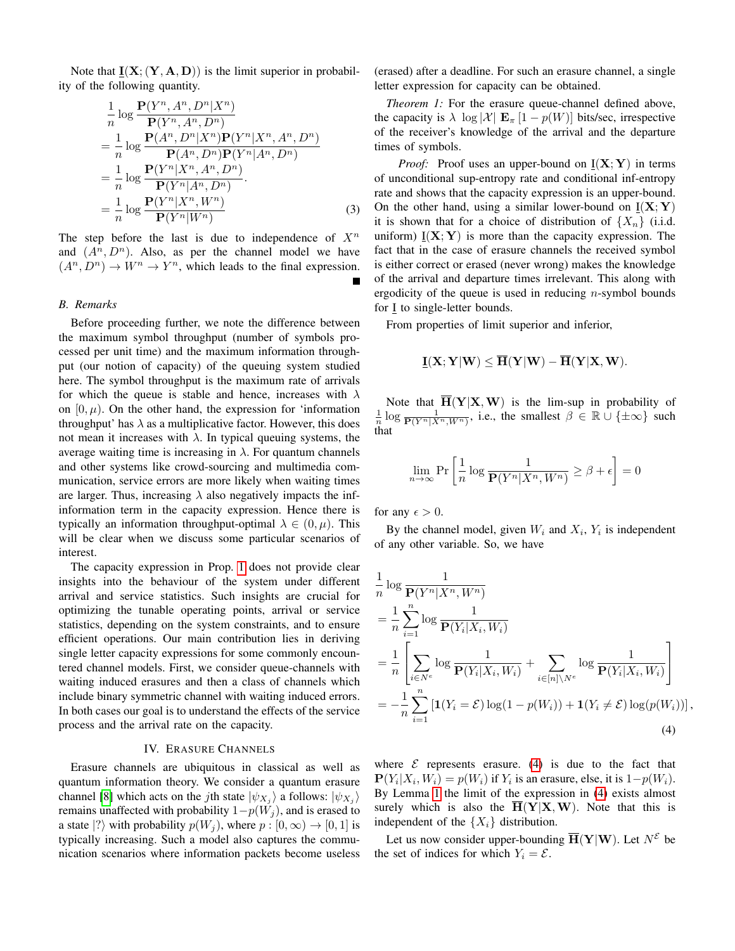Note that  $\underline{\mathbf{I}}(\mathbf{X}; (\mathbf{Y}, \mathbf{A}, \mathbf{D}))$  is the limit superior in probability of the following quantity.

$$
\frac{1}{n}\log\frac{\mathbf{P}(Y^n, A^n, D^n|X^n)}{\mathbf{P}(Y^n, A^n, D^n)}
$$
\n
$$
=\frac{1}{n}\log\frac{\mathbf{P}(A^n, D^n|X^n)\mathbf{P}(Y^n|X^n, A^n, D^n)}{\mathbf{P}(A^n, D^n)\mathbf{P}(Y^n|A^n, D^n)}
$$
\n
$$
=\frac{1}{n}\log\frac{\mathbf{P}(Y^n|X^n, A^n, D^n)}{\mathbf{P}(Y^n|A^n, D^n)}.
$$
\n
$$
=\frac{1}{n}\log\frac{\mathbf{P}(Y^n|X^n, W^n)}{\mathbf{P}(Y^n|W^n)}
$$
\n(3)

The step before the last is due to independence of  $X<sup>n</sup>$ and  $(A^n, D^n)$ . Also, as per the channel model we have  $(A^n, D^n) \to W^n \to Y^n$ , which leads to the final expression.

## *B. Remarks*

Before proceeding further, we note the difference between the maximum symbol throughput (number of symbols processed per unit time) and the maximum information throughput (our notion of capacity) of the queuing system studied here. The symbol throughput is the maximum rate of arrivals for which the queue is stable and hence, increases with  $\lambda$ on  $[0, \mu)$ . On the other hand, the expression for 'information throughput' has  $\lambda$  as a multiplicative factor. However, this does not mean it increases with  $\lambda$ . In typical queuing systems, the average waiting time is increasing in  $\lambda$ . For quantum channels and other systems like crowd-sourcing and multimedia communication, service errors are more likely when waiting times are larger. Thus, increasing  $\lambda$  also negatively impacts the infinformation term in the capacity expression. Hence there is typically an information throughput-optimal  $\lambda \in (0, \mu)$ . This will be clear when we discuss some particular scenarios of interest.

The capacity expression in Prop. [1](#page-2-0) does not provide clear insights into the behaviour of the system under different arrival and service statistics. Such insights are crucial for optimizing the tunable operating points, arrival or service statistics, depending on the system constraints, and to ensure efficient operations. Our main contribution lies in deriving single letter capacity expressions for some commonly encountered channel models. First, we consider queue-channels with waiting induced erasures and then a class of channels which include binary symmetric channel with waiting induced errors. In both cases our goal is to understand the effects of the service process and the arrival rate on the capacity.

#### IV. ERASURE CHANNELS

<span id="page-3-2"></span>Erasure channels are ubiquitous in classical as well as quantum information theory. We consider a quantum erasure channel [\[8\]](#page-8-7) which acts on the *j*th state  $|\psi_{X_j}\rangle$  a follows:  $|\psi_{X_j}\rangle$ remains unaffected with probability  $1-p(W_j)$ , and is erased to a state  $|?\rangle$  with probability  $p(W_i)$ , where  $p : [0, \infty) \to [0, 1]$  is typically increasing. Such a model also captures the communication scenarios where information packets become useless (erased) after a deadline. For such an erasure channel, a single letter expression for capacity can be obtained.

<span id="page-3-1"></span>*Theorem 1:* For the erasure queue-channel defined above, the capacity is  $\lambda \log |\mathcal{X}| \mathbf{E}_{\pi}$  [1 – p(W)] bits/sec, irrespective of the receiver's knowledge of the arrival and the departure times of symbols.

*Proof:* Proof uses an upper-bound on  $I(X; Y)$  in terms of unconditional sup-entropy rate and conditional inf-entropy rate and shows that the capacity expression is an upper-bound. On the other hand, using a similar lower-bound on  $I(X; Y)$ it is shown that for a choice of distribution of  $\{X_n\}$  (i.i.d. uniform)  $\underline{I}(X;Y)$  is more than the capacity expression. The fact that in the case of erasure channels the received symbol is either correct or erased (never wrong) makes the knowledge of the arrival and departure times irrelevant. This along with ergodicity of the queue is used in reducing *n*-symbol bounds for I to single-letter bounds.

From properties of limit superior and inferior,

$$
\underline{\mathbf{I}}(\mathbf{X};\mathbf{Y}|\mathbf{W}) \leq \overline{\mathbf{H}}(\mathbf{Y}|\mathbf{W}) - \overline{\mathbf{H}}(\mathbf{Y}|\mathbf{X},\mathbf{W}).
$$

Note that  $\mathbf{H}(\mathbf{Y}|\mathbf{X}, \mathbf{W})$  is the lim-sup in probability of  $\frac{1}{n} \log \frac{1}{\mathbf{P}(Y^n|X^n,W^n)}$ , i.e., the smallest  $\beta \in \mathbb{R} \cup \{\pm \infty\}$  such that

$$
\lim_{n \to \infty} \Pr\left[\frac{1}{n} \log \frac{1}{\mathbf{P}(Y^n | X^n, W^n)} \ge \beta + \epsilon\right] = 0
$$

for any  $\epsilon > 0$ .

By the channel model, given  $W_i$  and  $X_i$ ,  $Y_i$  is independent of any other variable. So, we have

$$
\frac{1}{n} \log \frac{1}{\mathbf{P}(Y^n | X^n, W^n)} \n= \frac{1}{n} \sum_{i=1}^n \log \frac{1}{\mathbf{P}(Y_i | X_i, W_i)} \n= \frac{1}{n} \left[ \sum_{i \in N^e} \log \frac{1}{\mathbf{P}(Y_i | X_i, W_i)} + \sum_{i \in [n] \setminus N^e} \log \frac{1}{\mathbf{P}(Y_i | X_i, W_i)} \right] \n= -\frac{1}{n} \sum_{i=1}^n \left[ \mathbf{1}(Y_i = \mathcal{E}) \log(1 - p(W_i)) + \mathbf{1}(Y_i \neq \mathcal{E}) \log(p(W_i)) \right],
$$
\n(4)

<span id="page-3-0"></span>where  $\mathcal E$  represents erasure. [\(4\)](#page-3-0) is due to the fact that  $\mathbf{P}(Y_i|X_i,W_i) = p(W_i)$  if  $Y_i$  is an erasure, else, it is  $1-p(W_i)$ . By Lemma [1](#page-2-1) the limit of the expression in [\(4\)](#page-3-0) exists almost surely which is also the  $\overline{H}(Y|X,W)$ . Note that this is independent of the  $\{X_i\}$  distribution.

Let us now consider upper-bounding  $\overline{\mathbf{H}}(\mathbf{Y}|\mathbf{W})$ . Let  $N^{\mathcal{E}}$  be the set of indices for which  $Y_i = \mathcal{E}$ .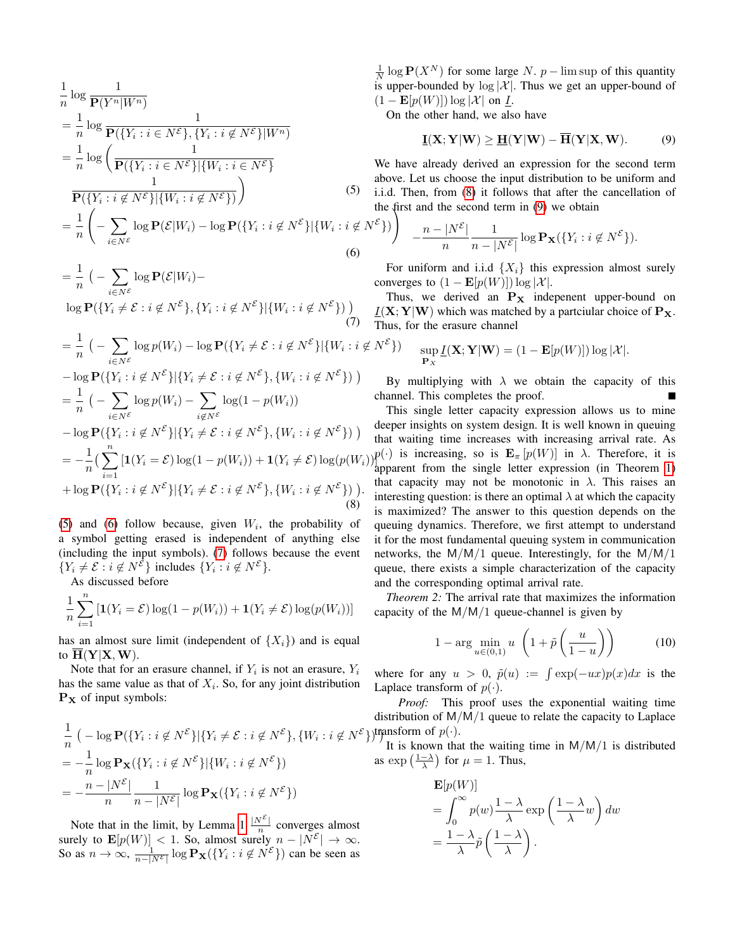$$
\frac{1}{n}\log\frac{1}{\mathbf{P}(Y^n|W^n)}
$$
\n
$$
= \frac{1}{n}\log\frac{1}{\mathbf{P}(\{Y_i : i \in N^{\mathcal{E}}\}, \{Y_i : i \notin N^{\mathcal{E}}\}|W^n)}
$$
\n
$$
= \frac{1}{n}\log\left(\frac{1}{\mathbf{P}(\{Y_i : i \in N^{\mathcal{E}}\}|\{W_i : i \in N^{\mathcal{E}}\})}
$$
\n
$$
\frac{1}{\mathbf{P}(\{Y_i : i \notin N^{\mathcal{E}}\}|\{W_i : i \notin N^{\mathcal{E}}\})}\right)
$$
\n(5)

$$
= \frac{1}{n} \left( -\sum_{i \in N^{\mathcal{E}}} \log \mathbf{P}(\mathcal{E}|W_i) - \log \mathbf{P}(\{Y_i : i \notin N^{\mathcal{E}}\} | \{W_i : i \notin N^{\mathcal{E}}\}) \right)
$$
\n(6)

$$
= \frac{1}{n} \left( -\sum_{i \in N^{\mathcal{E}}} \log \mathbf{P}(\mathcal{E}|W_i) - \log \mathbf{P}(\{Y_i \neq \mathcal{E} : i \notin N^{\mathcal{E}}\}, \{Y_i : i \notin N^{\mathcal{E}}\} | \{W_i : i \notin N^{\mathcal{E}}\}) \right)
$$
\n
$$
\tag{7}
$$

$$
= \frac{1}{n} \left( -\sum_{i \in N^{\mathcal{E}}} \log p(W_i) - \log \mathbf{P}(\{Y_i \neq \mathcal{E} : i \notin N^{\mathcal{E}}\} | \{W_i : i \notin N^{\mathcal{E}}\}) \right)
$$
  
\n
$$
- \log \mathbf{P}(\{Y_i : i \notin N^{\mathcal{E}}\} | \{Y_i \neq \mathcal{E} : i \notin N^{\mathcal{E}}\}, \{W_i : i \notin N^{\mathcal{E}}\}) \right) \text{By}
$$
  
\n
$$
= \frac{1}{n} \left( -\sum_{i \in N^{\mathcal{E}}} \log p(W_i) - \sum_{i \notin N^{\mathcal{E}}} \log(1 - p(W_i)) \right) \text{chain}
$$
  
\n
$$
- \log \mathbf{P}(\{Y_i : i \notin N^{\mathcal{E}}\} | \{Y_i \neq \mathcal{E} : i \notin N^{\mathcal{E}}\}, \{W_i : i \notin N^{\mathcal{E}}\}) \right) \text{deep}
$$
  
\n
$$
= -\frac{1}{n} \left( \sum_{i=1}^{n} [\mathbf{1}(Y_i = \mathcal{E}) \log(1 - p(W_i)) + \mathbf{1}(Y_i \neq \mathcal{E}) \log(p(W_i)) \right)_{\text{appar}}^{p(\cdot)} + \log \mathbf{P}(\{Y_i : i \notin N^{\mathcal{E}}\} | \{Y_i \neq \mathcal{E} : i \notin N^{\mathcal{E}}\}, \{W_i : i \notin N^{\mathcal{E}}\}) \right) \text{.,} \text{finite}
$$
  
\n(8) is the

[\(5\)](#page-4-0) and [\(6\)](#page-4-1) follow because, given  $W_i$ , the probability of a symbol getting erased is independent of anything else (including the input symbols). [\(7\)](#page-4-2) follows because the event  $\{Y_i \neq \mathcal{E} : i \notin N^{\mathcal{E}}\}$  includes  $\{Y_i : i \notin N^{\mathcal{E}}\}.$ 

As discussed before

$$
\frac{1}{n}\sum_{i=1}^{n} \left[ \mathbf{1}(Y_i = \mathcal{E}) \log(1 - p(W_i)) + \mathbf{1}(Y_i \neq \mathcal{E}) \log(p(W_i)) \right]
$$

has an almost sure limit (independent of  $\{X_i\}$ ) and is equal to  $H(Y|X, W)$ .

Note that for an erasure channel, if  $Y_i$  is not an erasure,  $Y_i$ has the same value as that of  $X_i$ . So, for any joint distribution  $P_X$  of input symbols:

$$
\frac{1}{n} \left( -\log \mathbf{P}(\{Y_i : i \notin N^{\mathcal{E}}\} | \{Y_i \neq \mathcal{E} : i \notin N^{\mathcal{E}}\}, \{W_i : i \notin N^{\mathcal{E}}\}) \right)
$$
\n
$$
= -\frac{1}{n} \log \mathbf{P}_{\mathbf{X}}(\{Y_i : i \notin N^{\mathcal{E}}\} | \{W_i : i \notin N^{\mathcal{E}}\})
$$
\n
$$
= -\frac{n - |N^{\mathcal{E}}|}{n} \frac{1}{n - |N^{\mathcal{E}}|} \log \mathbf{P}_{\mathbf{X}}(\{Y_i : i \notin N^{\mathcal{E}}\})
$$

Note that in the limit, by Lemma [1](#page-2-1)  $\frac{|N^{\varepsilon}|}{n}$  $\frac{N}{n}$  converges almost surely to  $\mathbf{E}[p(W)] < 1$ . So, almost surely  $n - |N^{\mathcal{E}}| \to \infty$ . So as  $n \to \infty$ ,  $\frac{1}{n-|N^{\varepsilon}|} \log \mathbf{P_X}(\lbrace Y_i : i \not\in N^{\varepsilon} \rbrace)$  can be seen as

 $\frac{1}{N} \log P(X^N)$  for some large N. p – lim sup of this quantity is upper-bounded by  $log |\mathcal{X}|$ . Thus we get an upper-bound of  $(1 - \mathbf{E}[p(W)]) \log |\mathcal{X}|$  on I.

On the other hand, we also have

<span id="page-4-4"></span>
$$
\underline{\mathbf{I}}(\mathbf{X}; \mathbf{Y}|\mathbf{W}) \ge \underline{\mathbf{H}}(\mathbf{Y}|\mathbf{W}) - \overline{\mathbf{H}}(\mathbf{Y}|\mathbf{X}, \mathbf{W}). \tag{9}
$$

<span id="page-4-0"></span>! We have already derived an expression for the second term above. Let us choose the input distribution to be uniform and i.i.d. Then, from [\(8\)](#page-4-3) it follows that after the cancellation of the first and the second term in [\(9\)](#page-4-4) we obtain

$$
\left.\begin{array}{ll}\n\end{array}\right\}\n\quad -\frac{n-|N^{\mathcal{E}}|}{n}\frac{1}{n-|N^{\mathcal{E}}|}\log \mathbf{P}_{\mathbf{X}}(\lbrace Y_i:i\not\in N^{\mathcal{E}}\rbrace).
$$

<span id="page-4-1"></span>For uniform and i.i.d  $\{X_i\}$  this expression almost surely converges to  $(1 - \mathbf{E}[p(W)]) \log |\mathcal{X}|$ .

<span id="page-4-2"></span>Thus, we derived an  $P_X$  indepenent upper-bound on  $I(X; Y|W)$  which was matched by a partciular choice of  $P_X$ . Thus, for the erasure channel

$$
\sup_{\mathbf{P}_X} \underline{I}(\mathbf{X}; \mathbf{Y} | \mathbf{W}) = (1 - \mathbf{E}[p(W)]) \log |\mathcal{X}|.
$$

By multiplying with  $\lambda$  we obtain the capacity of this channel. This completes the proof.

<span id="page-4-3"></span>This single letter capacity expression allows us to mine deeper insights on system design. It is well known in queuing that waiting time increases with increasing arrival rate. As  $p(\cdot)$  is increasing, so is  $\mathbf{E}_{\pi} [p(W)]$  in  $\lambda$ . Therefore, it is apparent from the single letter expression (in Theorem [1\)](#page-3-1) that capacity may not be monotonic in  $\lambda$ . This raises an interesting question: is there an optimal  $\lambda$  at which the capacity is maximized? The answer to this question depends on the queuing dynamics. Therefore, we first attempt to understand it for the most fundamental queuing system in communication networks, the  $M/M/1$  queue. Interestingly, for the  $M/M/1$ queue, there exists a simple characterization of the capacity and the corresponding optimal arrival rate.

*Theorem 2:* The arrival rate that maximizes the information capacity of the  $M/M/1$  queue-channel is given by

$$
1 - \arg\min_{u \in (0,1)} u \left( 1 + \tilde{p}\left(\frac{u}{1-u}\right) \right) \tag{10}
$$

where for any  $u > 0$ ,  $\tilde{p}(u) := \int \exp(-ux)p(x)dx$  is the Laplace transform of  $p(\cdot)$ .

 $\gamma$ ) transform of  $p(\cdot)$ . *Proof:* This proof uses the exponential waiting time distribution of M/M/1 queue to relate the capacity to Laplace

It is known that the waiting time in  $M/M/1$  is distributed as  $\exp\left(\frac{1-\lambda}{\lambda}\right)$  for  $\mu = 1$ . Thus,

$$
\mathbf{E}[p(W)]
$$
  
=  $\int_0^\infty p(w) \frac{1-\lambda}{\lambda} \exp\left(\frac{1-\lambda}{\lambda}w\right) dw$   
=  $\frac{1-\lambda}{\lambda} \tilde{p}\left(\frac{1-\lambda}{\lambda}\right).$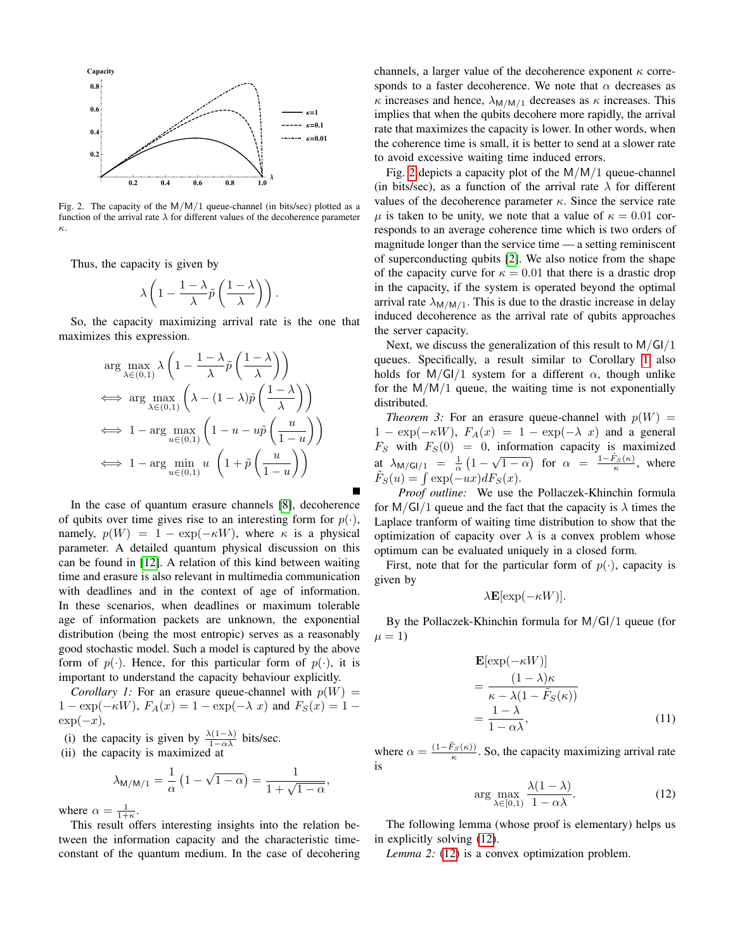

<span id="page-5-0"></span>Fig. 2. The capacity of the  $M/M/1$  queue-channel (in bits/sec) plotted as a function of the arrival rate  $\lambda$  for different values of the decoherence parameter κ.

Thus, the capacity is given by

$$
\lambda \left(1 - \frac{1 - \lambda}{\lambda} \widetilde{p}\left(\frac{1 - \lambda}{\lambda}\right)\right).
$$

So, the capacity maximizing arrival rate is the one that maximizes this expression.

$$
\arg \max_{\lambda \in (0,1)} \lambda \left( 1 - \frac{1 - \lambda}{\lambda} \tilde{p} \left( \frac{1 - \lambda}{\lambda} \right) \right)
$$
\n
$$
\iff \arg \max_{\lambda \in (0,1)} \left( \lambda - (1 - \lambda) \tilde{p} \left( \frac{1 - \lambda}{\lambda} \right) \right)
$$
\n
$$
\iff 1 - \arg \max_{u \in (0,1)} \left( 1 - u - u \tilde{p} \left( \frac{u}{1 - u} \right) \right)
$$
\n
$$
\iff 1 - \arg \min_{u \in (0,1)} u \left( 1 + \tilde{p} \left( \frac{u}{1 - u} \right) \right)
$$

In the case of quantum erasure channels [\[8\]](#page-8-7), decoherence of qubits over time gives rise to an interesting form for  $p(\cdot)$ , namely,  $p(W) = 1 - \exp(-\kappa W)$ , where  $\kappa$  is a physical parameter. A detailed quantum physical discussion on this can be found in [\[12\]](#page-8-11). A relation of this kind between waiting time and erasure is also relevant in multimedia communication with deadlines and in the context of age of information. In these scenarios, when deadlines or maximum tolerable age of information packets are unknown, the exponential distribution (being the most entropic) serves as a reasonably good stochastic model. Such a model is captured by the above form of  $p(\cdot)$ . Hence, for this particular form of  $p(\cdot)$ , it is important to understand the capacity behaviour explicitly.

<span id="page-5-1"></span>*Corollary 1:* For an erasure queue-channel with  $p(W)$  =  $1 - \exp(-\kappa W)$ ,  $F_A(x) = 1 - \exp(-\lambda x)$  and  $F_S(x) = 1 - \frac{\kappa}{\lambda}$  $\exp(-x)$ ,

- (i) the capacity is given by  $\frac{\lambda(1-\lambda)}{1-\alpha\lambda}$  bits/sec.
- (ii) the capacity is maximized at

$$
\lambda_{M/M/1} = \frac{1}{\alpha} \left( 1 - \sqrt{1 - \alpha} \right) = \frac{1}{1 + \sqrt{1 - \alpha}},
$$

where  $\alpha = \frac{1}{1+\kappa}$ .

This result offers interesting insights into the relation between the information capacity and the characteristic timeconstant of the quantum medium. In the case of decohering

channels, a larger value of the decoherence exponent  $\kappa$  corresponds to a faster decoherence. We note that  $\alpha$  decreases as  $\kappa$  increases and hence,  $\lambda_{M/M/1}$  decreases as  $\kappa$  increases. This implies that when the qubits decohere more rapidly, the arrival rate that maximizes the capacity is lower. In other words, when the coherence time is small, it is better to send at a slower rate to avoid excessive waiting time induced errors.

Fig. [2](#page-5-0) depicts a capacity plot of the  $M/M/1$  queue-channel (in bits/sec), as a function of the arrival rate  $\lambda$  for different values of the decoherence parameter  $\kappa$ . Since the service rate  $\mu$  is taken to be unity, we note that a value of  $\kappa = 0.01$  corresponds to an average coherence time which is two orders of magnitude longer than the service time — a setting reminiscent of superconducting qubits [\[2\]](#page-8-1). We also notice from the shape of the capacity curve for  $\kappa = 0.01$  that there is a drastic drop in the capacity, if the system is operated beyond the optimal arrival rate  $\lambda_{M/M/1}$ . This is due to the drastic increase in delay induced decoherence as the arrival rate of qubits approaches the server capacity.

Next, we discuss the generalization of this result to  $M/GI/I$ queues. Specifically, a result similar to Corollary [1](#page-5-1) also holds for  $M/GI/1$  system for a different  $\alpha$ , though unlike for the  $M/M/1$  queue, the waiting time is not exponentially distributed.

<span id="page-5-3"></span>*Theorem 3:* For an erasure queue-channel with  $p(W)$  =  $1 - \exp(-\kappa W)$ ,  $F_A(x) = 1 - \exp(-\lambda x)$  and a general  $F_S$  with  $F_S(0) = 0$ , information capacity is maximized  $\Delta_{\mathsf{M/GI/1}} = \frac{1}{\alpha} \left( 1 - \sqrt{1 - \alpha} \right)$  for  $\alpha = \frac{1 - \tilde{F}_S(\kappa)}{\kappa}$ , where  $\tilde{F}_S(u) = \int \exp(-ux) dF_S(x).$ 

*Proof outline:* We use the Pollaczek-Khinchin formula for  $M/GI/1$  queue and the fact that the capacity is  $\lambda$  times the Laplace tranform of waiting time distribution to show that the optimization of capacity over  $\lambda$  is a convex problem whose optimum can be evaluated uniquely in a closed form.

First, note that for the particular form of  $p(\cdot)$ , capacity is given by

$$
\lambda \mathbf{E}[\exp(-\kappa W)].
$$

By the Pollaczek-Khinchin formula for M/GI/1 queue (for  $\mu = 1$ 

$$
\mathbf{E}[\exp(-\kappa W)]
$$
  
= 
$$
\frac{(1-\lambda)\kappa}{\kappa - \lambda(1 - \tilde{F}_S(\kappa))}
$$
  
= 
$$
\frac{1-\lambda}{1-\alpha\lambda},
$$
 (11)

where  $\alpha = \frac{(1 - \tilde{F}_S(\kappa))}{\kappa}$ . So, the capacity maximizing arrival rate is

<span id="page-5-2"></span>
$$
\arg\max_{\lambda \in [0,1)} \frac{\lambda(1-\lambda)}{1-\alpha\lambda}.\tag{12}
$$

The following lemma (whose proof is elementary) helps us in explicitly solving [\(12\)](#page-5-2).

*Lemma 2:* [\(12\)](#page-5-2) is a convex optimization problem.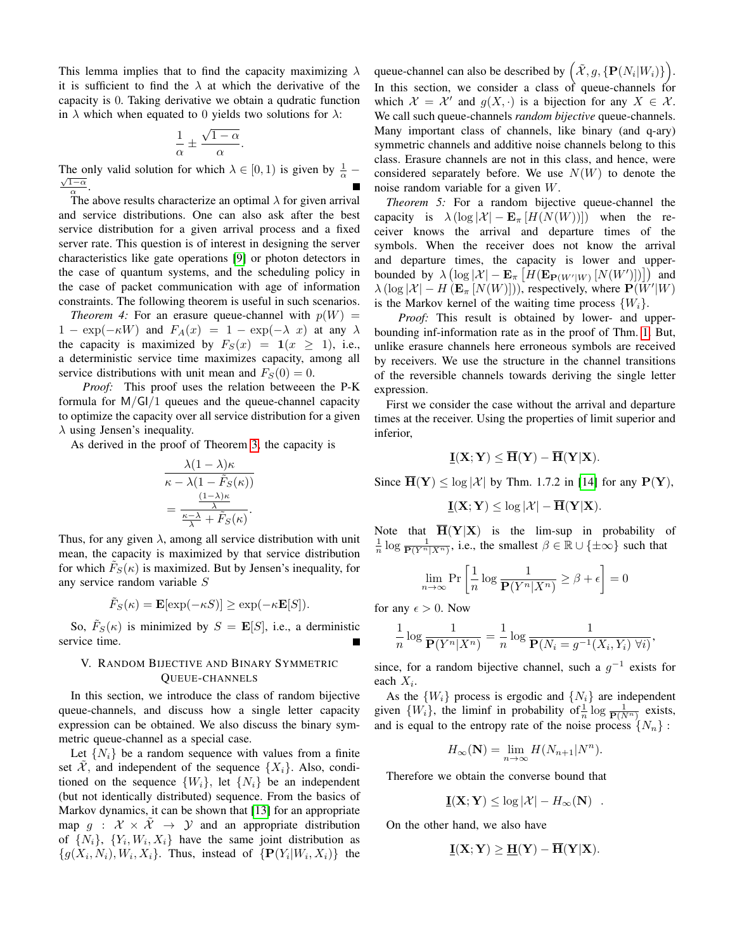This lemma implies that to find the capacity maximizing  $\lambda$ it is sufficient to find the  $\lambda$  at which the derivative of the capacity is 0. Taking derivative we obtain a qudratic function in  $\lambda$  which when equated to 0 yields two solutions for  $\lambda$ :

$$
\frac{1}{\alpha} \pm \frac{\sqrt{1-\alpha}}{\alpha}.
$$

The only valid solution for which  $\lambda \in [0, 1)$  is given by  $\frac{1}{\alpha}$  –  $\frac{1-\alpha}{\alpha}$ .

The above results characterize an optimal  $\lambda$  for given arrival and service distributions. One can also ask after the best service distribution for a given arrival process and a fixed server rate. This question is of interest in designing the server characteristics like gate operations [\[9\]](#page-8-8) or photon detectors in the case of quantum systems, and the scheduling policy in the case of packet communication with age of information constraints. The following theorem is useful in such scenarios.

*Theorem 4:* For an erasure queue-channel with  $p(W)$  =  $1 - \exp(-\kappa W)$  and  $F_A(x) = 1 - \exp(-\lambda x)$  at any  $\lambda$ the capacity is maximized by  $F_S(x) = 1(x \ge 1)$ , i.e., a deterministic service time maximizes capacity, among all service distributions with unit mean and  $F_S(0) = 0$ .

*Proof:* This proof uses the relation betweeen the P-K formula for  $M/GI/I$  queues and the queue-channel capacity to optimize the capacity over all service distribution for a given  $\lambda$  using Jensen's inequality.

As derived in the proof of Theorem [3,](#page-5-3) the capacity is

$$
\frac{\lambda (1 - \lambda)\kappa}{\kappa - \lambda (1 - \tilde{F}_S(\kappa))}
$$

$$
= \frac{\frac{(1 - \lambda)\kappa}{\lambda}}{\frac{\kappa - \lambda}{\lambda} + \tilde{F}_S(\kappa)}.
$$

Thus, for any given  $\lambda$ , among all service distribution with unit mean, the capacity is maximized by that service distribution for which  $\tilde{F}_S(\kappa)$  is maximized. But by Jensen's inequality, for any service random variable S

$$
\tilde{F}_S(\kappa) = \mathbf{E}[\exp(-\kappa S)] \ge \exp(-\kappa \mathbf{E}[S]).
$$

So,  $\tilde{F}_S(\kappa)$  is minimized by  $S = \mathbf{E}[S]$ , i.e., a derministic service time.

# V. RANDOM BIJECTIVE AND BINARY SYMMETRIC QUEUE-CHANNELS

In this section, we introduce the class of random bijective queue-channels, and discuss how a single letter capacity expression can be obtained. We also discuss the binary symmetric queue-channel as a special case.

Let  $\{N_i\}$  be a random sequence with values from a finite set X, and independent of the sequence  $\{X_i\}$ . Also, conditioned on the sequence  $\{W_i\}$ , let  $\{N_i\}$  be an independent (but not identically distributed) sequence. From the basics of Markov dynamics, it can be shown that [\[13\]](#page-8-12) for an appropriate map  $g : \mathcal{X} \times \tilde{\mathcal{X}} \to \mathcal{Y}$  and an appropriate distribution of  $\{N_i\}$ ,  $\{Y_i, W_i, X_i\}$  have the same joint distribution as  $\{g(X_i, N_i), W_i, X_i\}$ . Thus, instead of  $\{P(Y_i|W_i, X_i)\}$  the

queue-channel can also be described by  $(\tilde{X}, g, \{P(N_i|W_i)\})$ . In this section, we consider a class of queue-channels for which  $\mathcal{X} = \mathcal{X}'$  and  $g(X, \cdot)$  is a bijection for any  $X \in \mathcal{X}$ . We call such queue-channels *random bijective* queue-channels. Many important class of channels, like binary (and q-ary) symmetric channels and additive noise channels belong to this class. Erasure channels are not in this class, and hence, were considered separately before. We use  $N(W)$  to denote the noise random variable for a given W.

*Theorem 5:* For a random bijective queue-channel the capacity is  $\lambda (\log |\mathcal{X}| - \mathbf{E}_{\pi}[H(N(W))])$  when the receiver knows the arrival and departure times of the symbols. When the receiver does not know the arrival and departure times, the capacity is lower and upperbounded by  $\lambda \left( \log |\mathcal{X}| - \mathbf{E}_{\pi} \left[ H(\mathbf{E}_{\mathbf{P}(W'|W)} [N(W')] ) \right] \right)$  and  $\lambda (\log |\mathcal{X}| - H(\mathbf{E}_{\pi}[N(W)]))$ , respectively, where  $\mathbf{P}(\tilde{W}'|W)$ is the Markov kernel of the waiting time process  $\{W_i\}$ .

*Proof:* This result is obtained by lower- and upperbounding inf-information rate as in the proof of Thm. [1.](#page-3-1) But, unlike erasure channels here erroneous symbols are received by receivers. We use the structure in the channel transitions of the reversible channels towards deriving the single letter expression.

First we consider the case without the arrival and departure times at the receiver. Using the properties of limit superior and inferior,

$$
\underline{\mathbf{I}}(\mathbf{X};\mathbf{Y}) \leq \overline{\mathbf{H}}(\mathbf{Y}) - \overline{\mathbf{H}}(\mathbf{Y}|\mathbf{X}).
$$

Since  $\overline{\mathbf{H}}(\mathbf{Y}) \le \log |\mathcal{X}|$  by Thm. 1.7.2 in [\[14\]](#page-8-13) for any  $\mathbf{P}(\mathbf{Y})$ ,

$$
\underline{\mathbf{I}}(\mathbf{X}; \mathbf{Y}) \leq \log |\mathcal{X}| - \overline{\mathbf{H}}(\mathbf{Y}|\mathbf{X}).
$$

Note that  $\overline{H}(Y|X)$  is the lim-sup in probability of  $\frac{1}{n} \log \frac{1}{\mathbf{P}(Y^n | X^n)}$ , i.e., the smallest  $\beta \in \mathbb{R} \cup \{\pm \infty\}$  such that

$$
\lim_{n \to \infty} \Pr\left[\frac{1}{n} \log \frac{1}{\mathbf{P}(Y^n | X^n)} \ge \beta + \epsilon\right] = 0
$$

for any  $\epsilon > 0$ . Now

$$
\frac{1}{n}\log\frac{1}{\mathbf{P}(Y^n|X^n)} = \frac{1}{n}\log\frac{1}{\mathbf{P}(N_i = g^{-1}(X_i, Y_i) \,\,\forall i)},
$$

since, for a random bijective channel, such a  $g^{-1}$  exists for each  $X_i$ .

As the  $\{W_i\}$  process is ergodic and  $\{N_i\}$  are independent given  $\{W_i\}$ , the liminf in probability of  $\frac{1}{n} \log \frac{1}{P(N^n)}$  exists, and is equal to the entropy rate of the noise process  $\{N_n\}$ :

$$
H_{\infty}(\mathbf{N}) = \lim_{n \to \infty} H(N_{n+1}|N^n).
$$

Therefore we obtain the converse bound that

$$
\mathbf{\underline{I}}(\mathbf{X}; \mathbf{Y}) \leq \log |\mathcal{X}| - H_{\infty}(\mathbf{N}) \quad .
$$

On the other hand, we also have

$$
\underline{\mathbf{I}}(\mathbf{X};\mathbf{Y}) \geq \underline{\mathbf{H}}(\mathbf{Y}) - \overline{\mathbf{H}}(\mathbf{Y}|\mathbf{X}).
$$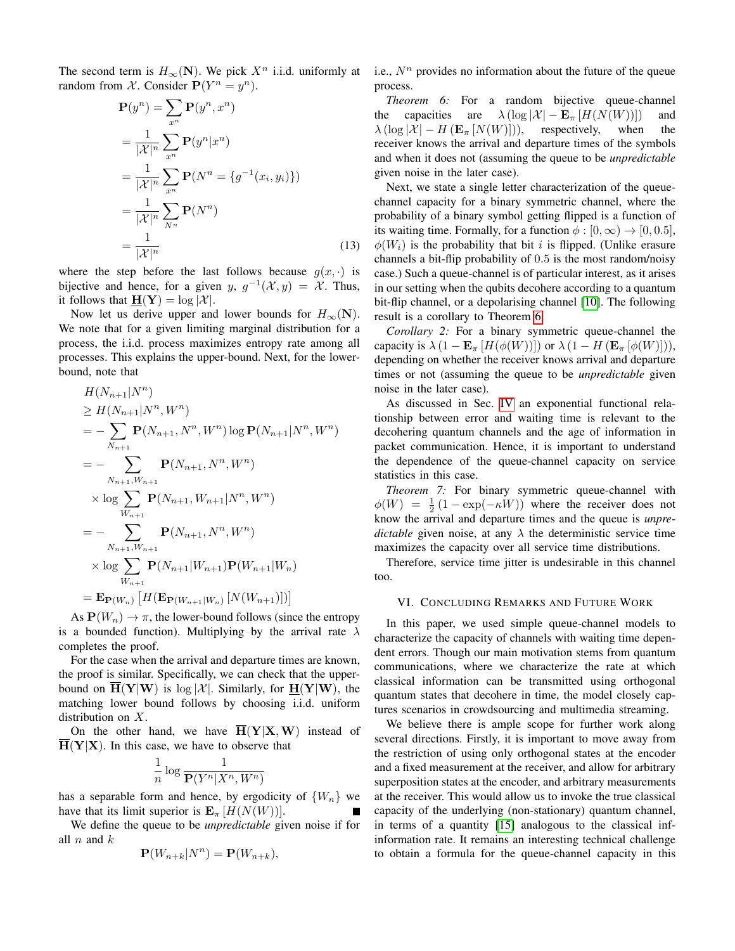The second term is  $H_{\infty}(\mathbf{N})$ . We pick  $X^n$  i.i.d. uniformly at random from X. Consider  $P(Y^n = y^n)$ .

$$
\mathbf{P}(y^n) = \sum_{x^n} \mathbf{P}(y^n, x^n)
$$
  
= 
$$
\frac{1}{|\mathcal{X}|^n} \sum_{x^n} \mathbf{P}(y^n | x^n)
$$
  
= 
$$
\frac{1}{|\mathcal{X}|^n} \sum_{x^n} \mathbf{P}(N^n = \{g^{-1}(x_i, y_i)\})
$$
  
= 
$$
\frac{1}{|\mathcal{X}|^n} \sum_{N^n} \mathbf{P}(N^n)
$$
  
= 
$$
\frac{1}{|\mathcal{X}|^n}
$$
 (13)

where the step before the last follows because  $q(x, \cdot)$  is bijective and hence, for a given y,  $g^{-1}(\mathcal{X}, y) = \mathcal{X}$ . Thus, it follows that  $H(Y) = \log |\mathcal{X}|$ .

Now let us derive upper and lower bounds for  $H_{\infty}(\mathbf{N})$ . We note that for a given limiting marginal distribution for a process, the i.i.d. process maximizes entropy rate among all processes. This explains the upper-bound. Next, for the lowerbound, note that

$$
H(N_{n+1}|N^n)
$$
  
\n
$$
\geq H(N_{n+1}|N^n, W^n)
$$
  
\n
$$
= -\sum_{N_{n+1}} \mathbf{P}(N_{n+1}, N^n, W^n) \log \mathbf{P}(N_{n+1}|N^n, W^n)
$$
  
\n
$$
= -\sum_{N_{n+1}, W_{n+1}} \mathbf{P}(N_{n+1}, N^n, W^n)
$$
  
\n
$$
\times \log \sum_{W_{n+1}} \mathbf{P}(N_{n+1}, W_{n+1}|N^n, W^n)
$$
  
\n
$$
= -\sum_{N_{n+1}, W_{n+1}} \mathbf{P}(N_{n+1}, N^n, W^n)
$$
  
\n
$$
\times \log \sum_{W_{n+1}} \mathbf{P}(N_{n+1}|W_{n+1}) \mathbf{P}(W_{n+1}|W_n)
$$
  
\n
$$
= \mathbf{E}_{\mathbf{P}(W_n)} [H(\mathbf{E}_{\mathbf{P}(W_{n+1}|W_n)} [N(W_{n+1})])]
$$

As  $P(W_n) \to \pi$ , the lower-bound follows (since the entropy is a bounded function). Multiplying by the arrival rate  $\lambda$ completes the proof.

For the case when the arrival and departure times are known, the proof is similar. Specifically, we can check that the upperbound on  $\overline{H}(Y|W)$  is  $\log |\mathcal{X}|$ . Similarly, for  $\underline{H}(Y|W)$ , the matching lower bound follows by choosing i.i.d. uniform distribution on X.

On the other hand, we have  $\overline{H}(Y|X,W)$  instead of  $\overline{H}(Y|X)$ . In this case, we have to observe that

$$
\frac{1}{n}\log\frac{1}{\mathbf{P}(Y^n|X^n,W^n)}
$$

has a separable form and hence, by ergodicity of  $\{W_n\}$  we have that its limit superior is  $\mathbf{E}_{\pi}[H(N(W))]$ .

We define the queue to be *unpredictable* given noise if for all  $n$  and  $k$ 

$$
\mathbf{P}(W_{n+k}|N^n) = \mathbf{P}(W_{n+k}),
$$

i.e.,  $N<sup>n</sup>$  provides no information about the future of the queue process.

<span id="page-7-0"></span>*Theorem 6:* For a random bijective queue-channel the capacities are  $\lambda (\log |\mathcal{X}| - \mathbf{E}_{\pi}[H(N(W))])$  and  $\lambda (\log |\mathcal{X}| - H(\mathbf{E}_{\pi}[N(W)]))$ , respectively, when the receiver knows the arrival and departure times of the symbols and when it does not (assuming the queue to be *unpredictable* given noise in the later case).

Next, we state a single letter characterization of the queuechannel capacity for a binary symmetric channel, where the probability of a binary symbol getting flipped is a function of its waiting time. Formally, for a function  $\phi : [0, \infty) \to [0, 0.5]$ ,  $\phi(W_i)$  is the probability that bit i is flipped. (Unlike erasure channels a bit-flip probability of 0.5 is the most random/noisy case.) Such a queue-channel is of particular interest, as it arises in our setting when the qubits decohere according to a quantum bit-flip channel, or a depolarising channel [\[10\]](#page-8-9). The following result is a corollary to Theorem [6.](#page-7-0)

*Corollary 2:* For a binary symmetric queue-channel the capacity is  $\lambda (1 - \mathbf{E}_{\pi} [H(\phi(W))])$  or  $\lambda (1 - H(\mathbf{E}_{\pi} [\phi(W)])),$ depending on whether the receiver knows arrival and departure times or not (assuming the queue to be *unpredictable* given noise in the later case).

As discussed in Sec. [IV](#page-3-2) an exponential functional relationship between error and waiting time is relevant to the decohering quantum channels and the age of information in packet communication. Hence, it is important to understand the dependence of the queue-channel capacity on service statistics in this case.

*Theorem 7:* For binary symmetric queue-channel with  $\phi(W) = \frac{1}{2} (1 - \exp(-\kappa W))$  where the receiver does not know the arrival and departure times and the queue is *unpredictable* given noise, at any  $\lambda$  the deterministic service time maximizes the capacity over all service time distributions.

Therefore, service time jitter is undesirable in this channel too.

## VI. CONCLUDING REMARKS AND FUTURE WORK

In this paper, we used simple queue-channel models to characterize the capacity of channels with waiting time dependent errors. Though our main motivation stems from quantum communications, where we characterize the rate at which classical information can be transmitted using orthogonal quantum states that decohere in time, the model closely captures scenarios in crowdsourcing and multimedia streaming.

We believe there is ample scope for further work along several directions. Firstly, it is important to move away from the restriction of using only orthogonal states at the encoder and a fixed measurement at the receiver, and allow for arbitrary superposition states at the encoder, and arbitrary measurements at the receiver. This would allow us to invoke the true classical capacity of the underlying (non-stationary) quantum channel, in terms of a quantity [\[15\]](#page-8-14) analogous to the classical infinformation rate. It remains an interesting technical challenge to obtain a formula for the queue-channel capacity in this